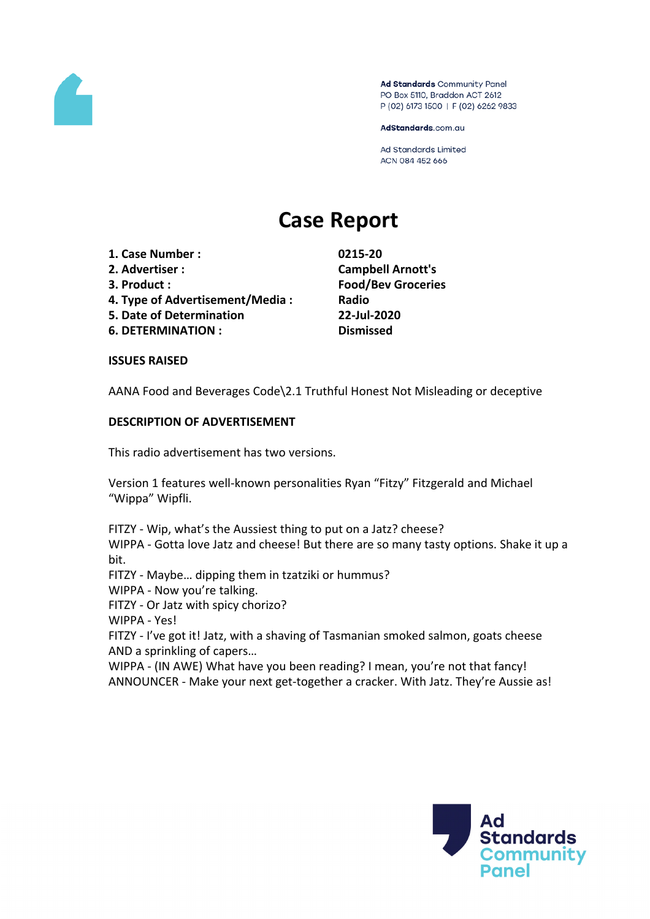

Ad Standards Community Panel PO Box 5110, Braddon ACT 2612 P (02) 6173 1500 | F (02) 6262 9833

AdStandards.com.au

Ad Standards Limited ACN 084 452 666

# **Case Report**

- **1. Case Number : 0215-20**
- 
- 
- **4. Type of Advertisement/Media : Radio**
- **5. Date of Determination 22-Jul-2020**
- **6. DETERMINATION : Dismissed**

**2. Advertiser : Campbell Arnott's 3. Product : Food/Bev Groceries**

#### **ISSUES RAISED**

AANA Food and Beverages Code\2.1 Truthful Honest Not Misleading or deceptive

### **DESCRIPTION OF ADVERTISEMENT**

This radio advertisement has two versions.

Version 1 features well-known personalities Ryan "Fitzy" Fitzgerald and Michael "Wippa" Wipfli.

FITZY - Wip, what's the Aussiest thing to put on a Jatz? cheese? WIPPA - Gotta love Jatz and cheese! But there are so many tasty options. Shake it up a bit.

FITZY - Maybe… dipping them in tzatziki or hummus?

WIPPA - Now you're talking.

FITZY - Or Jatz with spicy chorizo?

WIPPA - Yes!

FITZY - I've got it! Jatz, with a shaving of Tasmanian smoked salmon, goats cheese AND a sprinkling of capers…

WIPPA - (IN AWE) What have you been reading? I mean, you're not that fancy! ANNOUNCER - Make your next get-together a cracker. With Jatz. They're Aussie as!

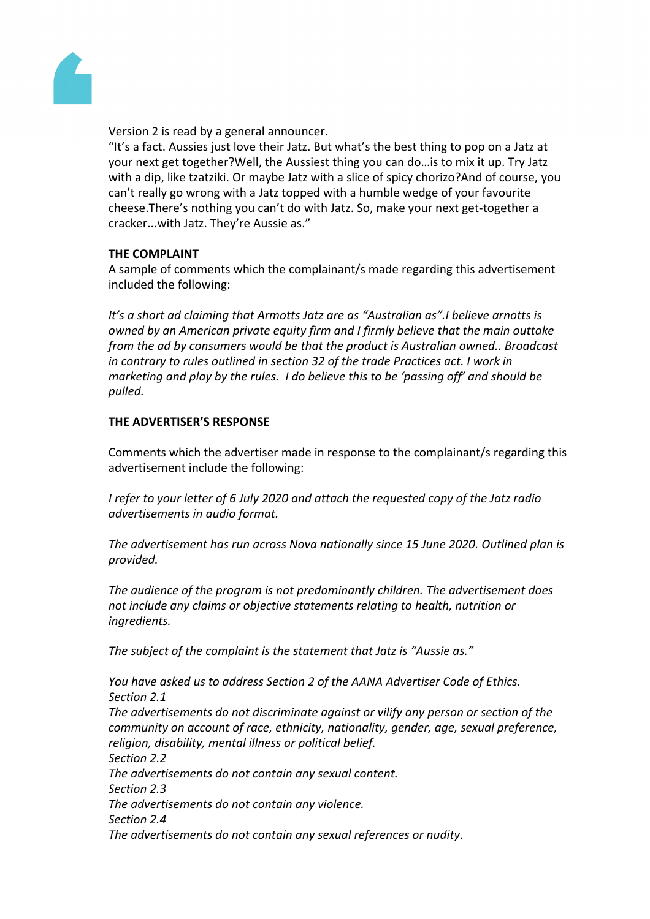

Version 2 is read by a general announcer.

"It's a fact. Aussies just love their Jatz. But what's the best thing to pop on a Jatz at your next get together?Well, the Aussiest thing you can do…is to mix it up. Try Jatz with a dip, like tzatziki. Or maybe Jatz with a slice of spicy chorizo?And of course, you can't really go wrong with a Jatz topped with a humble wedge of your favourite cheese.There's nothing you can't do with Jatz. So, make your next get-together a cracker...with Jatz. They're Aussie as."

### **THE COMPLAINT**

A sample of comments which the complainant/s made regarding this advertisement included the following:

*It's a short ad claiming that Armotts Jatz are as "Australian as".I believe arnotts is owned by an American private equity firm and I firmly believe that the main outtake from the ad by consumers would be that the product is Australian owned.. Broadcast in contrary to rules outlined in section 32 of the trade Practices act. I work in marketing and play by the rules. I do believe this to be 'passing off' and should be pulled.*

## **THE ADVERTISER'S RESPONSE**

Comments which the advertiser made in response to the complainant/s regarding this advertisement include the following:

*I refer to your letter of 6 July 2020 and attach the requested copy of the Jatz radio advertisements in audio format.* 

*The advertisement has run across Nova nationally since 15 June 2020. Outlined plan is provided.*

*The audience of the program is not predominantly children. The advertisement does not include any claims or objective statements relating to health, nutrition or ingredients.*

*The subject of the complaint is the statement that Jatz is "Aussie as."*

*You have asked us to address Section 2 of the AANA Advertiser Code of Ethics. Section 2.1 The advertisements do not discriminate against or vilify any person or section of the community on account of race, ethnicity, nationality, gender, age, sexual preference, religion, disability, mental illness or political belief. Section 2.2 The advertisements do not contain any sexual content. Section 2.3 The advertisements do not contain any violence. Section 2.4 The advertisements do not contain any sexual references or nudity.*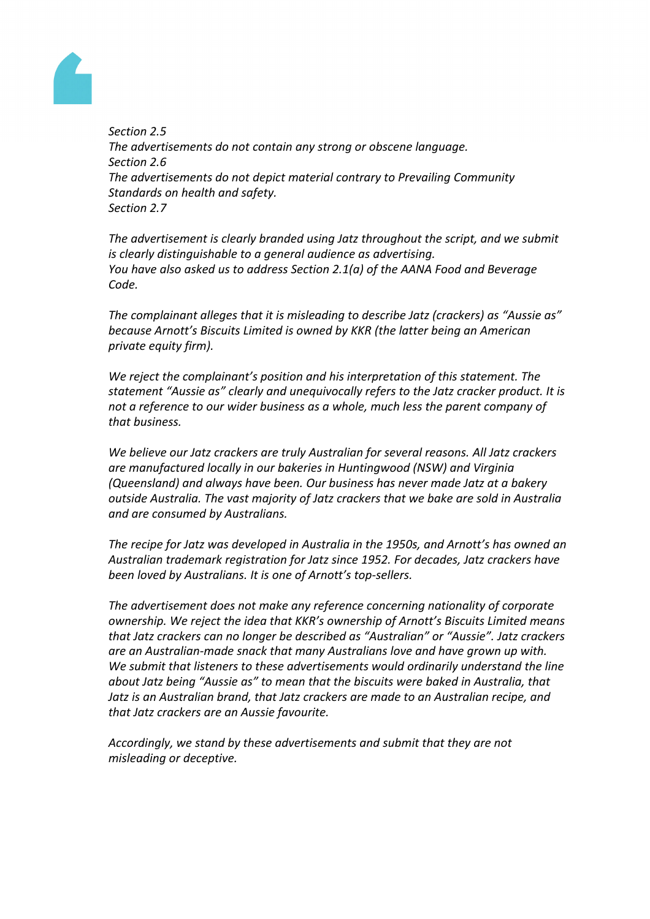

*Section 2.5 The advertisements do not contain any strong or obscene language. Section 2.6 The advertisements do not depict material contrary to Prevailing Community Standards on health and safety. Section 2.7*

*The advertisement is clearly branded using Jatz throughout the script, and we submit is clearly distinguishable to a general audience as advertising. You have also asked us to address Section 2.1(a) of the AANA Food and Beverage Code.*

*The complainant alleges that it is misleading to describe Jatz (crackers) as "Aussie as" because Arnott's Biscuits Limited is owned by KKR (the latter being an American private equity firm).*

*We reject the complainant's position and his interpretation of this statement. The statement "Aussie as" clearly and unequivocally refers to the Jatz cracker product. It is not a reference to our wider business as a whole, much less the parent company of that business.*

*We believe our Jatz crackers are truly Australian for several reasons. All Jatz crackers are manufactured locally in our bakeries in Huntingwood (NSW) and Virginia (Queensland) and always have been. Our business has never made Jatz at a bakery outside Australia. The vast majority of Jatz crackers that we bake are sold in Australia and are consumed by Australians.*

*The recipe for Jatz was developed in Australia in the 1950s, and Arnott's has owned an Australian trademark registration for Jatz since 1952. For decades, Jatz crackers have been loved by Australians. It is one of Arnott's top-sellers.*

*The advertisement does not make any reference concerning nationality of corporate ownership. We reject the idea that KKR's ownership of Arnott's Biscuits Limited means that Jatz crackers can no longer be described as "Australian" or "Aussie". Jatz crackers are an Australian-made snack that many Australians love and have grown up with. We submit that listeners to these advertisements would ordinarily understand the line about Jatz being "Aussie as" to mean that the biscuits were baked in Australia, that Jatz is an Australian brand, that Jatz crackers are made to an Australian recipe, and that Jatz crackers are an Aussie favourite.*

*Accordingly, we stand by these advertisements and submit that they are not misleading or deceptive.*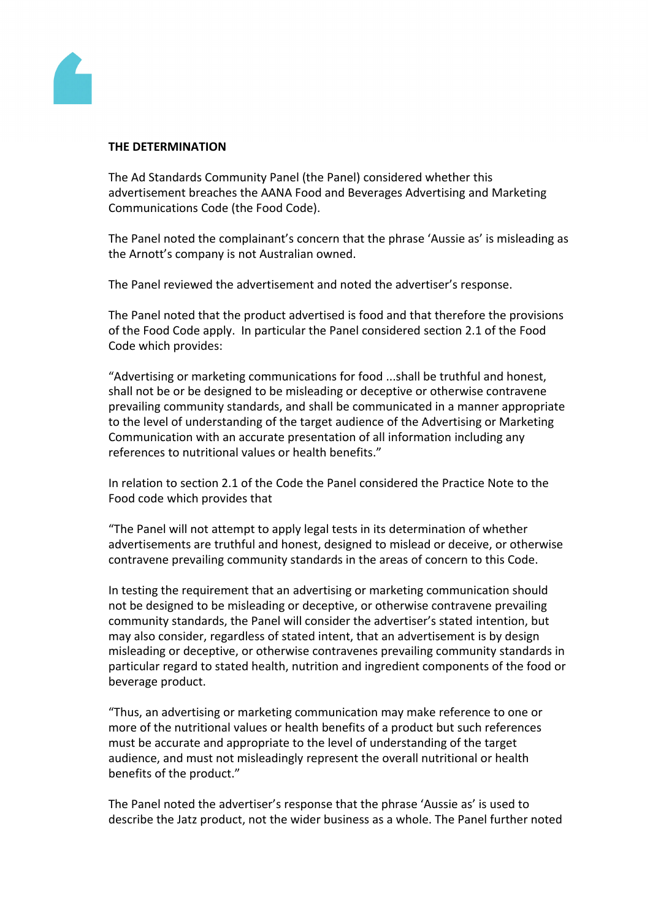

#### **THE DETERMINATION**

The Ad Standards Community Panel (the Panel) considered whether this advertisement breaches the AANA Food and Beverages Advertising and Marketing Communications Code (the Food Code).

The Panel noted the complainant's concern that the phrase 'Aussie as' is misleading as the Arnott's company is not Australian owned.

The Panel reviewed the advertisement and noted the advertiser's response.

The Panel noted that the product advertised is food and that therefore the provisions of the Food Code apply. In particular the Panel considered section 2.1 of the Food Code which provides:

"Advertising or marketing communications for food ...shall be truthful and honest, shall not be or be designed to be misleading or deceptive or otherwise contravene prevailing community standards, and shall be communicated in a manner appropriate to the level of understanding of the target audience of the Advertising or Marketing Communication with an accurate presentation of all information including any references to nutritional values or health benefits."

In relation to section 2.1 of the Code the Panel considered the Practice Note to the Food code which provides that

"The Panel will not attempt to apply legal tests in its determination of whether advertisements are truthful and honest, designed to mislead or deceive, or otherwise contravene prevailing community standards in the areas of concern to this Code.

In testing the requirement that an advertising or marketing communication should not be designed to be misleading or deceptive, or otherwise contravene prevailing community standards, the Panel will consider the advertiser's stated intention, but may also consider, regardless of stated intent, that an advertisement is by design misleading or deceptive, or otherwise contravenes prevailing community standards in particular regard to stated health, nutrition and ingredient components of the food or beverage product.

"Thus, an advertising or marketing communication may make reference to one or more of the nutritional values or health benefits of a product but such references must be accurate and appropriate to the level of understanding of the target audience, and must not misleadingly represent the overall nutritional or health benefits of the product."

The Panel noted the advertiser's response that the phrase 'Aussie as' is used to describe the Jatz product, not the wider business as a whole. The Panel further noted